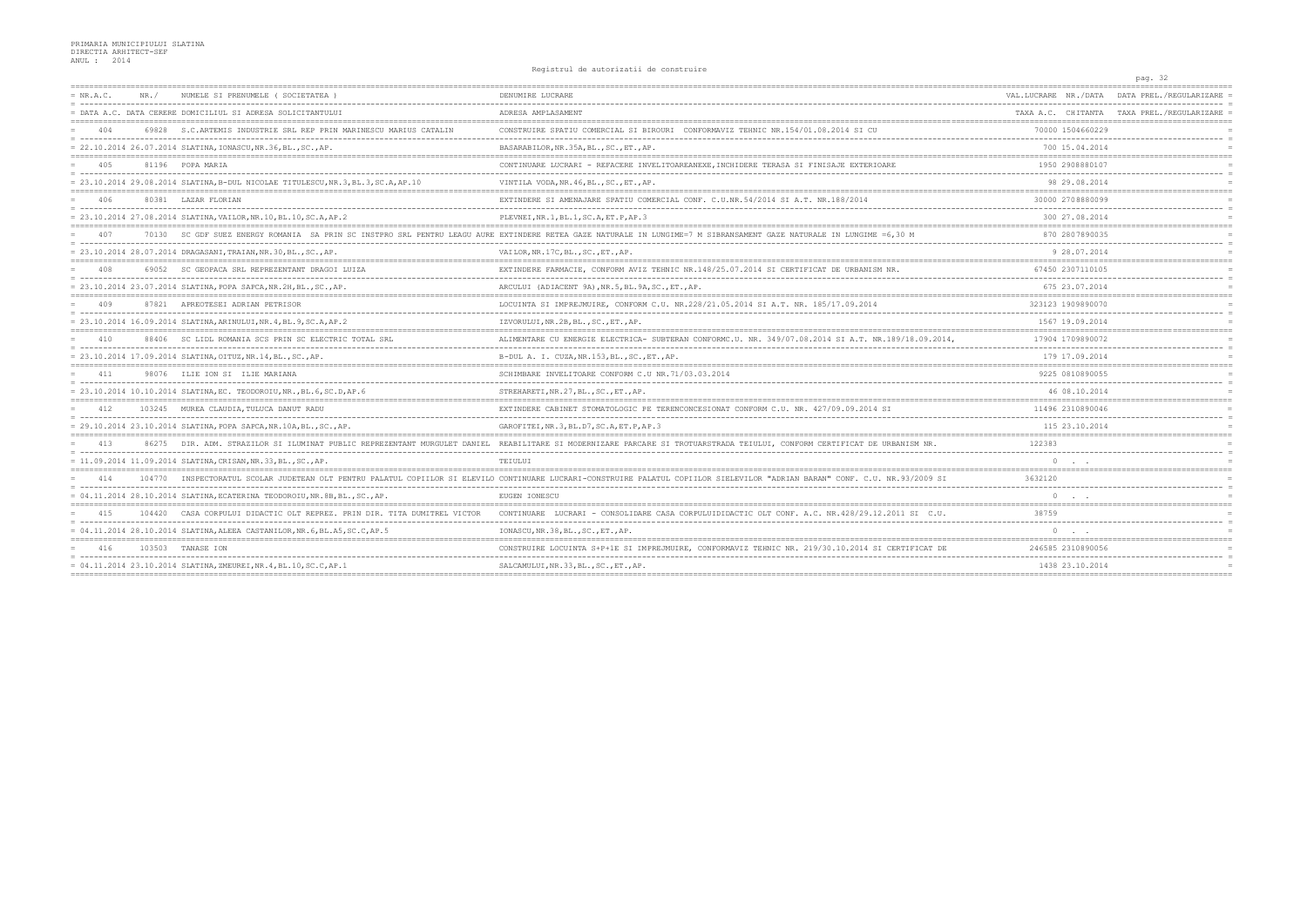|             |        |                                                                                   | nggio di ui de autoiliantii de comptiuli                                                                                                                                      |                                               | pag. 32                                    |
|-------------|--------|-----------------------------------------------------------------------------------|-------------------------------------------------------------------------------------------------------------------------------------------------------------------------------|-----------------------------------------------|--------------------------------------------|
| $= NR.A.C.$ | NR. /  | NUMELE SI PRENUMELE (SOCIETATEA)                                                  | DENUMIRE LUCRARE                                                                                                                                                              | VAL LUCRARE   NR./DATA                        | DATA PREL./REGULARIZARE                    |
|             |        | = DATA A.C. DATA CERERE DOMICILIUL SI ADRESA SOLICITANTULUI                       | ADRESA AMPLASAMENT                                                                                                                                                            |                                               | TAXA A.C. CHITANTA TAXA PREL./REGULARIZARE |
| 404         | 69828  | S.C. ARTEMIS INDUSTRIE SRL REP PRIN MARINESCU MARIUS CATALIN                      | CONSTRUIRE SPATIU COMERCIAL SI BIROURI CONFORMAVIZ TEHNIC NR.154/01.08.2014 SI                                                                                                | 70000 1504660229                              |                                            |
|             |        | = 22.10.2014 26.07.2014 SLATINA, IONASCU, NR.36, BL., SC., AP.                    | BASARABILOR, NR. 35A, BL., SC., ET., AP.                                                                                                                                      | 700 15.04.2014                                |                                            |
| 405         |        | 81196 POPA MARIA                                                                  | CONTINUARE LUCRARI - REFACERE INVELITOAREANEXE, INCHIDERE TERASA SI FINISAJE EXTERIOARE                                                                                       | 1950 2908880107                               |                                            |
|             |        | = 23.10.2014 29.08.2014 SLATINA, B-DUL NICOLAE TITULESCU, NR.3, BL.3, SC.A, AP.10 | VINTILA VODA, NR. 46, BL., SC., ET., AP.                                                                                                                                      | 98 29.08.2014                                 |                                            |
|             |        | 80381 LAZAR FLORIAN                                                               | EXTINDERE SI AMENAJARE SPATIU COMERCIAL CONF. C.U.NR.54/2014 SI A.T. NR.188/2014                                                                                              | 30000 2708880099                              |                                            |
|             |        | = 23.10.2014 27.08.2014 SLATINA, VAILOR, NR.10, BL.10, SC.A, AP.2                 | PLEVNEI, NR.1, BL.1, SC.A, ET.P, AP.3                                                                                                                                         | 300 27.08.2014                                |                                            |
| 407         |        |                                                                                   | 70130 SC GDF SUEZ ENERGY ROMANIA SA PRIN SC INSTPRO SRL PENTRU LEAGU AURE EXTINDERE RETEA GAZE NATURALE IN LUNGIME=7 M SIBRANSAMENT GAZE NATURALE IN LUNGIME =6,30 M          | 870 2807890035                                |                                            |
|             |        | $= 23.10.2014 28.07.2014 DRAGASANI, TRAIAN, NR.30, BL., SC., AP.$                 | VAILOR, NR. 17C, BL., SC., ET., AP.                                                                                                                                           | 9 28 07 2014                                  |                                            |
| 408         |        | 69052 SC GEOPACA SRL REPREZENTANT DRAGOI LUIZA                                    | EXTINDERE FARMACIE, CONFORM AVIZ TEHNIC NR.148/25.07.2014 SI CERTIFICAT DE URBANISM NR.                                                                                       | 67450 2307110105                              |                                            |
|             |        | = 23.10.2014 23.07.2014 SLATINA, POPA SAPCA, NR.2H, BL., SC., AP.                 | ARCULUI (ADIACENT 9A), NR.5, BL.9A, SC., ET., AP.                                                                                                                             | 675 23.07.2014                                |                                            |
| 409         |        | 87821 APREOTESEI ADRIAN PETRISOR                                                  | LOCUINTA SI IMPREJMUIRE, CONFORM C.U. NR.228/21.05.2014 SI A.T. NR. 185/17.09.2014                                                                                            | 323123 1909890070                             |                                            |
|             |        | = 23.10.2014 16.09.2014 SLATINA, ARINULUI, NR.4, BL.9, SC.A, AP.2                 | IZVORULUI, NR.2B, BL., SC., ET., AP.                                                                                                                                          | 1567 19.09.2014                               |                                            |
| 410         | 88406  | SC LIDL ROMANIA SCS PRIN SC ELECTRIC TOTAL SRL                                    | ALIMENTARE CU ENERGIE ELECTRICA- SUBTERAN CONFORMC.U. NR. 349/07.08.2014 SI A.T. NR.189/18.09.2014,                                                                           | 17904 1709890072                              |                                            |
|             |        | $= 23.10.2014$ 17.09.2014 SLATINA, OITUZ, NR.14, BL., SC., AP.                    | B-DUL A. I. CUZA, NR. 153, BL., SC., ET., AP.                                                                                                                                 | 179 17.09.2014                                |                                            |
| 411         |        | 98076 ILIE ION SI ILIE MARIANA                                                    | SCHIMBARE INVELITOARE CONFORM C.U NR.71/03.03.2014                                                                                                                            | 9225 0810890055                               |                                            |
|             |        | = 23.10.2014 10.10.2014 SLATINA, EC. TEODOROIU, NR., BL. 6, SC. D, AP. 6          | STREHARETI, NR. 27, BL., SC., ET., AP.                                                                                                                                        | 46 08.10.2014                                 |                                            |
| 412         |        | 103245 MUREA CLAUDIA, TULUCA DANUT RADU                                           | EXTINDERE CABINET STOMATOLOGIC PE TERENCONCESIONAT CONFORM C.U. NR. 427/09.09.2014 SI                                                                                         | 11496 2310890046                              |                                            |
|             |        | = 29.10.2014 23.10.2014 SLATINA, POPA SAPCA, NR.10A, BL., SC., AP.                | GAROFITEI, NR.3, BL.D7, SC.A, ET.P, AP.3                                                                                                                                      | 115 23.10.2014                                |                                            |
| 413         |        |                                                                                   | 86275 DIR. ADM. STRAZILOR SI ILUMINAT PUBLIC REPREZENTANT MURGULET DANIEL REABILITARE SI MODERNIZARE PARCARE SI TROTUARSTRADA TEIULUI, CONFORM CERTIFICAT DE URBANISM NR.     | 122383                                        |                                            |
|             |        | $= 11.09.2014 11.09.2014 SLATINA, CRISAN, NR.33, BL., SC., AP.$                   | TEIULUI                                                                                                                                                                       | $\circ$                                       |                                            |
| 414         |        |                                                                                   | 104770 INSPECTORATUL SCOLAR JUDETEAN OLT PENTRU PALATUL COPIILOR SI ELEVILO CONTINUARE LUCRARI-CONSTRUIRE PALATUL COPIILOR SIELEVILOR "ADRIAN BARAN" CONF. C.U. NR.93/2009 SI | 3632120                                       |                                            |
|             |        | $= 04.11.2014$ 28.10.2014 SLATINA, ECATERINA TEODOROIU, NR.8B, BL., SC., AP.      | EUGEN IONESCU                                                                                                                                                                 | $\Omega$                                      |                                            |
| 415         | 104420 | CASA CORPULUI DIDACTIC OLT REPREZ. PRIN DIR. TITA DUMITREL VICTOR                 | CONTINUARE<br>LUCRARI - CONSOLIDARE CASA CORPULUIDIDACTIC OLT CONF. A.C. NR.428/29.12.2011 SI C.U.                                                                            | 38759                                         |                                            |
|             |        | = 04.11.2014 28.10.2014 SLATINA, ALEEA CASTANILOR, NR. 6, BL. A5, SC. C, AP. 5    | IONASCU, NR.38, BL., SC., ET., AP.                                                                                                                                            | $\circ$                                       |                                            |
|             |        | 103503 TANASE ION                                                                 | CONSTRUIRE LOCUINTA S+P+1E SI IMPREJMUIRE, CONFORMAVIZ TEHNIC NR. 219/30.10.2014 SI                                                                                           | 246585 2310890056                             |                                            |
|             |        | = 04.11.2014 23.10.2014 SLATINA, ZMEUREI, NR. 4, BL. 10, SC. C, AP. 1             | SALCAMULUI, NR. 33, BL., SC., ET., AP.                                                                                                                                        | 1438 23.10.2014<br>-------------------------- |                                            |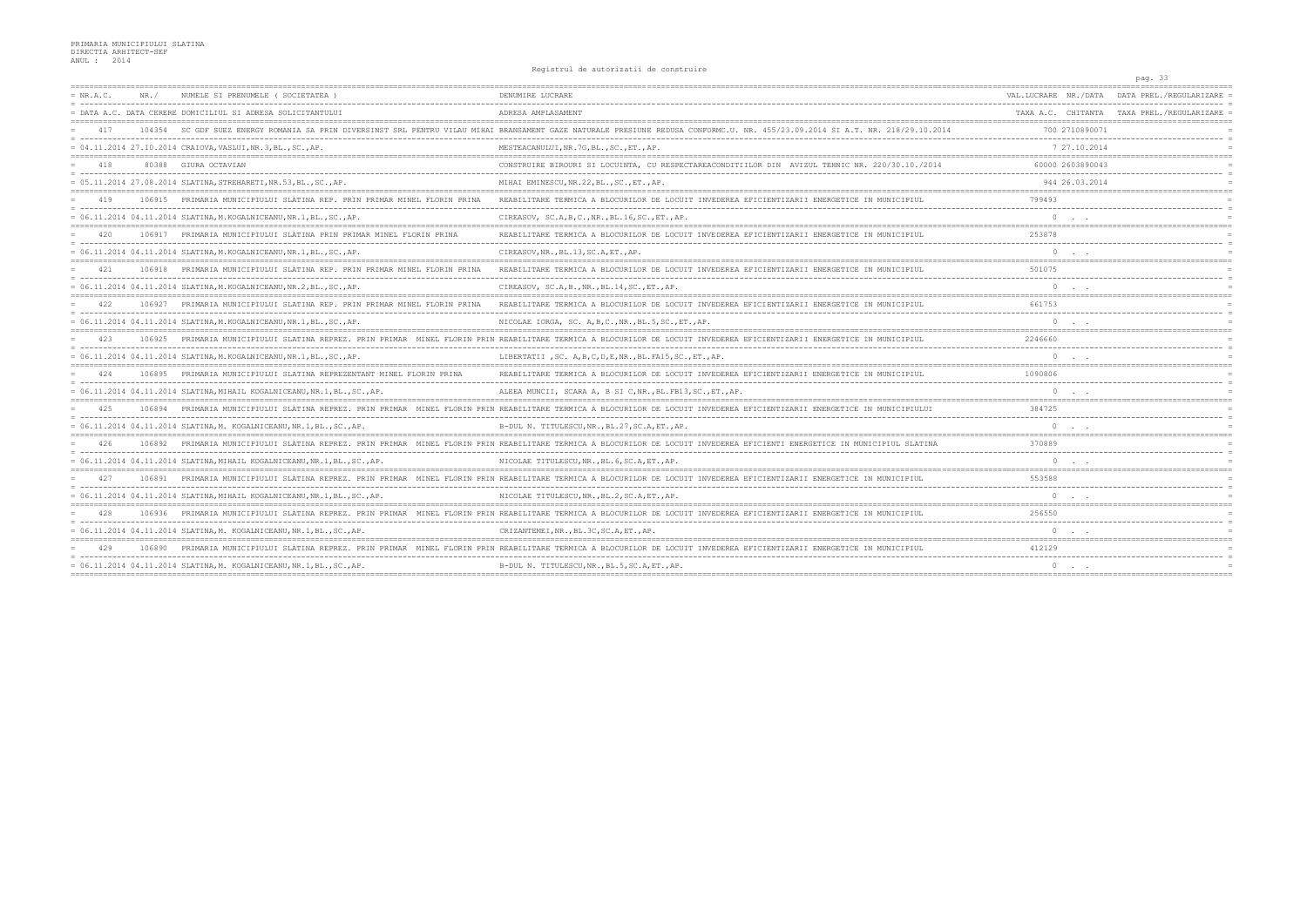|             |        |                                                                             | nggio di ui de autoiliantii de comptiuli                                                                                                                            |                       | pag. 33                                    |
|-------------|--------|-----------------------------------------------------------------------------|---------------------------------------------------------------------------------------------------------------------------------------------------------------------|-----------------------|--------------------------------------------|
| $= NR.A.C.$ | NR. /  | NUMELE SI PRENUMELE (SOCIETATEA                                             | DENUMIRE LUCRARE                                                                                                                                                    | VAL.LUCRARE NR./DATA  | DATA PREL./REGULARIZARE                    |
|             |        | = DATA A.C. DATA CERERE DOMICILIUL SI ADRESA SOLICITANTULUI                 | ADRESA AMPLASAMENT                                                                                                                                                  |                       | TAXA A.C. CHITANTA TAXA PREL./REGULARIZARE |
| 417         | 104354 | SC GDF SUEZ                                                                 | <b>BRANSAMENT</b>                                                                                                                                                   | 700 2710890071        |                                            |
|             |        | $= 04.11.2014 27.10.2014 CRAIOVA, VASLUI, NR.3, BL., SC., AP.$              | MESTEACANULUI, NR.7G, BL., SC., ET., AP.                                                                                                                            | 7 27.10.2014          |                                            |
| 418         |        | 80388 GIURA OCTAVIAN                                                        | CONSTRUIRE BIROURI SI LOCUINTA, CU RESPECTAREACONDITIILOR DIN AVIZUL TEHNIC NR. 220/30.10./2014                                                                     | 60000 2603890043      |                                            |
|             |        | = 05.11.2014 27.08.2014 SLATINA, STREHARETI, NR.53, BL., SC., AP.           | MIHAI EMINESCU, NR. 22, BL., SC., ET., AP.                                                                                                                          | 944 26.03.2014        |                                            |
| 419         |        | 106915 PRIMARIA MUNICIPIULUI SLATINA REP. PRIN PRIMAR MINEL FLORIN PRINA    | REABILITARE TERMICA A BLOCURILOR DE LOCUIT INVEDEREA EFICIENTIZARII ENERGETICE IN MUNICIPIUL                                                                        | 799493                |                                            |
|             |        | = 06.11.2014 04.11.2014 SLATINA, M. KOGALNICEANU, NR.1, BL., SC., AP.       | CIREASOV, SC.A, B, C., NR., BL.16, SC., ET., AP.                                                                                                                    | $\Omega$              |                                            |
| 420         |        | 106917 PRIMARIA MUNICIPIULUI SLATINA PRIN PRIMAR MINEL FLORIN PRINA         | REABILITARE TERMICA A BLOCURILOR DE LOCUIT INVEDEREA EFICIENTIZARII ENERGETICE IN MUNICIPIUL                                                                        | 253878                |                                            |
|             |        | = 06.11.2014 04.11.2014 SLATINA, M. KOGALNICEANU, NR.1, BL., SC., AP.       | CIREASOV, NR., BL.13, SC.A, ET., AP.                                                                                                                                | $\circ$               |                                            |
| 421         |        | 106918 PRIMARIA MUNICIPIULUI SLATINA REP. PRIN PRIMAR MINEL FLORIN PRINA    | REABILITARE TERMICA A BLOCURILOR DE LOCUIT INVEDEREA EFICIENTIZARII ENERGETICE IN MUNICIPIUL                                                                        | 501075                |                                            |
|             |        | $= 06.11.2014$ 04.11.2014 SLATINA.M.KOGALNICEANU.NR.2.BLSCAP.               | CIREASOV, SC.A, B., NR., BL.14, SC., ET., AP.                                                                                                                       | $\Omega$              |                                            |
| 422         | 106927 | PRIMARIA MUNICIPIULUI SLATINA REP. PRIN PRIMAR MINEL FLORIN PRINA           | REABILITARE TERMICA A BLOCURILOR DE LOCUIT INVEDEREA EFICIENTIZARII ENERGETICE IN MUNICIPIUL                                                                        | 661753                |                                            |
|             |        | = 06.11.2014 04.11.2014 SLATINA, M. KOGALNICEANU, NR. 1, BL., SC., AP.      | NICOLAE IORGA, SC. A, B, C., NR., BL. 5, SC., ET., AP.                                                                                                              |                       |                                            |
|             | 106925 |                                                                             | PRIMARIA MUNICIPIULUI SLATINA REPREZ. PRIN PRIMAR MINEL FLORIN PRIN REABILITARE TERMICA A BLOCURILOR DE LOCUIT INVEDEREA EFICIENTIZARII ENERGETICE IN MUNICIPIUL    | 2246660               |                                            |
|             |        | = 06.11.2014 04.11.2014 SLATINA, M. KOGALNICEANU, NR.1, BL., SC., AP.       | LIBERTATII , SC. A, B, C, D, E, NR., BL. FA15, SC., ET., AP.                                                                                                        | $\circ$               |                                            |
|             | 106895 | PRIMARIA MUNICIPIULUI SLATINA REPREZENTANT MINEL FLORIN PRINA               | REABILITARE TERMICA A BLOCURILOR DE LOCUIT INVEDEREA EFICIENTIZARII ENERGETICE IN MUNICIPIUL                                                                        | 1090806               |                                            |
|             |        | = 06.11.2014 04.11.2014 SLATINA, MIHAIL KOGALNICEANU, NR.1, BL., SC., AP.   | ALEEA MUNCII, SCARA A, B SI C, NR., BL. FB13, SC., ET., AP.                                                                                                         | $\circ$               |                                            |
| 42.5        | 106894 |                                                                             | PRIMARIA MUNICIPIULUI SLATINA REPREZ. PRIN PRIMAR MINEL FLORIN PRIN REABILITARE TERMICA A BLOCURILOR DE LOCUIT INVEDEREA EFICIENTIZARII ENERGETICE IN MUNICIPIULUI  | 384725                |                                            |
|             |        | = 06.11.2014  04.11.2014  SLATINA.M. KOGALNICEANU.NR.1.BLSCAP.              | B-DUL N. TITULESCU.NRBL.27.SC.A.ETAP.                                                                                                                               |                       |                                            |
| 426         | 106892 |                                                                             | PRIMARIA MUNICIPIULUI SLATINA REPREZ. PRIN PRIMAR MINEL FLORIN PRIN REABILITARE TERMICA A BLOCURILOR DE LOCUIT INVEDEREA EFICIENTI ENERGETICE IN MUNICIPIUL SLATINA | 370889                |                                            |
|             |        | = 06.11.2014 04.11.2014 SLATINA, MIHAIL KOGALNICEANU, NR.1, BL., SC., AP.   | NICOLAE TITULESCU, NR., BL. 6, SC. A, ET., AP.                                                                                                                      | $\circ$               |                                            |
| 427         | 106891 |                                                                             | PRIMARIA MUNICIPIULUI SLATINA REPREZ. PRIN PRIMAR MINEL FLORIN PRIN REABILITARE TERMICA A BLOCURILOR DE LOCUIT INVEDEREA EFICIENTIZARII ENERGETICE IN MUNICIPIUL    | 553588                |                                            |
|             |        | $= 06.11.2014 04.11.2014 SLATINA, MIHAIL KOGALNICEANU, NR.1, BL., SC., AP.$ | NICOLAE TITULESCU, NR., BL.2, SC.A, ET., AP.                                                                                                                        |                       |                                            |
| 428         | 106936 | PRIMARIA MUNICIPIULUI SLATINA REPREZ. PRIN PRIMAR                           | MINEL FLORIN PRIN REABILITARE TERMICA A BLOCURILOR DE LOCUIT                                                                                                        | 256550                |                                            |
|             |        | $= 06.11.2014 04.11.2014 SLATINA,M. KOGALNICEANU, NR.1,BL.SC.AP.$           | CRIZANTEMEI, NR., BL. 3C, SC. A, ET., AP.                                                                                                                           | $\Omega$              |                                            |
|             |        | PRIMARIA MUNICIPIULUI SLATINA REPREZ. PRIN PRIMAR                           | REABILITARE TERMICA A BLOCURILOR DE LOCUIT INVEDEREA EFICIENTIZARII ENERG                                                                                           | 412129                |                                            |
|             |        | = 06.11.2014 04.11.2014 SLATINA, M. KOGALNICEANU, NR.1, BL., SC., AP.       | B-DUL N. TITULESCU, NR., BL.5, SC.A, ET., AP.                                                                                                                       | $0 \qquad . \qquad .$ |                                            |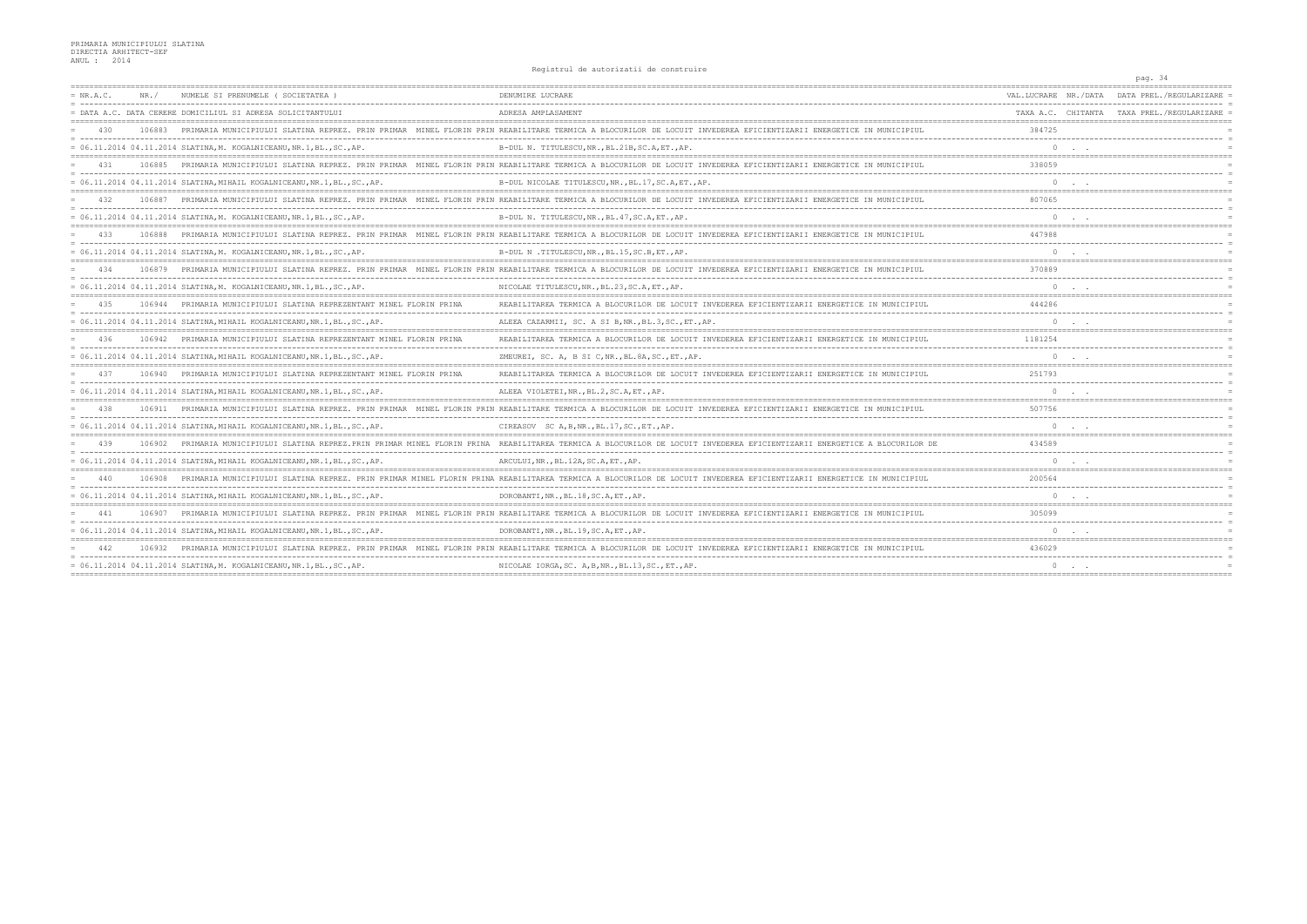|             |        |                                                                             | nggio di ui de autoiliantii de comptiuli                                                                                                                            |                       | pag. 34                                    |
|-------------|--------|-----------------------------------------------------------------------------|---------------------------------------------------------------------------------------------------------------------------------------------------------------------|-----------------------|--------------------------------------------|
| $= NR.A.C.$ | NR. /  | NUMELE SI PRENUMELE (SOCIETATEA)                                            | DENUMIRE LUCRARE                                                                                                                                                    | VAL.LUCRARE NR./DATA  | DATA PREL./REGULARIZARE                    |
|             |        | = DATA A.C. DATA CERERE DOMICILIUL SI ADRESA SOLICITANTULUI                 | ADRESA AMPLASAMENT                                                                                                                                                  |                       | TAXA A.C. CHITANTA TAXA PREL./REGULARIZARE |
| 430         |        | PRIMARIA MUNICIPIULUI                                                       | REABILITARE                                                                                                                                                         | 384725                |                                            |
|             |        | $= 06.11.2014 04.11.2014 SLATINA, M. KOGALNICEANU, NR.1, BL., SC., AP.$     | B-DUL N. TITULESCU, NR., BL.21B, SC.A, ET., AP.                                                                                                                     | $\Omega$              |                                            |
| 431         | 106885 |                                                                             | PRIMARIA MUNICIPIULUI SLATINA REPREZ. PRIN PRIMAR MINEL FLORIN PRIN REABILITARE TERMICA A BLOCURILOR DE LOCUIT INVEDEREA EFICIENTIZARII ENERGETICE IN MUNICIPIUL    | 338059                |                                            |
|             |        | = 06.11.2014 04.11.2014 SLATINA, MIHAIL KOGALNICEANU, NR.1, BL., SC., AP.   | B-DUL NICOLAE TITULESCU, NR., BL.17, SC.A, ET., AP.                                                                                                                 | $\circ$               |                                            |
|             | 106887 |                                                                             | PRIMARIA MUNICIPIULUI SLATINA REPREZ. PRIN PRIMAR MINEL FLORIN PRIN REABILITARE TERMICA A BLOCURILOR DE LOCUIT INVEDEREA EFICIENTIZARII ENERGETICE IN MUNICIPIUL    | 807065                |                                            |
|             |        | $= 06.11.2014 04.11.2014 SLATINA,M. KOGALNICEANU, NR.1,BL., SC., AP.$       | B-DUL N. TITULESCU, NR., BL. 47, SC.A, ET., AP.                                                                                                                     | $\circ$               |                                            |
| 433         | 106888 |                                                                             | PRIMARIA MUNICIPIULUI SLATINA REPREZ. PRIN PRIMAR MINEL FLORIN PRIN REABILITARE TERMICA A BLOCURILOR DE LOCUIT INVEDEREA EFICIENTIZARII ENERGETICE IN MUNICIPIUL    | 447988                |                                            |
|             |        | = 06.11.2014 04.11.2014 SLATINA, M. KOGALNICEANU, NR.1, BL., SC., AP.       | B-DUL N.TITULESCU, NR., BL.15, SC.B, ET., AP.                                                                                                                       | $\Omega$              |                                            |
| 434         | 106879 |                                                                             | PRIMARIA MUNICIPIULUI SLATINA REPREZ. PRIN PRIMAR MINEL FLORIN PRIN REABILITARE TERMICA A BLOCURILOR DE LOCUIT INVEDEREA EFICIENTIZARII ENERGETICE IN MUNICIPIUL    | 370889                |                                            |
|             |        | $= 06.11.2014 04.11.2014 SLATINA, M. KOGALNICEANU, NR.1, BL., SC., AP.$     | NICOLAE TITULESCU, NR., BL.23, SC.A, ET., AP.                                                                                                                       | $\circ$               |                                            |
| 435         | 106944 | PRIMARIA MUNICIPIULUI SLATINA REPREZENTANT MINEL FLORIN PRINA               | REABILITAREA TERMICA A BLOCURILOR DE LOCUIT INVEDEREA EFICIENTIZARII ENERGETICE IN MUNICIPIUI                                                                       | 444286                |                                            |
|             |        | $= 06.11.2014 04.11.2014 SLATINA, MIHAIL KOGALNICEANU, NR.1, BL., SC., AP.$ | ALEEA CAZARMII, SC. A SI B, NR., BL.3, SC., ET., AP.                                                                                                                | $\Omega$              |                                            |
| 436         | 106942 | PRIMARIA MUNICIPIULUI SLATINA REPREZENTANT MINEL FLORIN PRINA               | REABILITAREA TERMICA A BLOCURILOR DE LOCUIT INVEDEREA EFICIENTIZARII ENERGETICE IN MUNICIPIUL                                                                       | 1181254               |                                            |
|             |        | = 06.11.2014 04.11.2014 SLATINA, MIHAIL KOGALNICEANU, NR.1, BL., SC., AP.   | ZMEUREI, SC. A, B SI C, NR., BL. 8A, SC., ET., AP.                                                                                                                  | $\circ$               |                                            |
|             | 106940 | PRIMARIA MUNICIPIULUI SLATINA REPREZENTANT MINEL FLORIN PRINA               | REABILITAREA TERMICA A BLOCURILOR DE LOCUIT INVEDEREA EFICIENTIZARII ENERGETICE IN MUNICIPIUL                                                                       | 251793                |                                            |
|             |        | $= 06.11.2014 04.11.2014 SLATINA, MIHAIL KOGALNICEANU, NR.1, BL., SC., AP.$ | ALEEA VIOLETEI, NR., BL.2, SC.A, ET., AP.                                                                                                                           | $\circ$               |                                            |
| 438         | 106911 | PRIMARIA MUNICIPIULUI SLATINA REPREZ. PRIN PRIMAR<br>MINEL FLORIN           | PRIN REABILITARE TERMICA A BLOCURILOR DE LOCUIT INVEDEREA EFICIENTIZARII ENERGETICE IN MUNICIPIUL                                                                   | 507756                |                                            |
|             |        | $= 06.11.2014 04.11.2014 SLATINA, MIHAIL KOGALNICEANU, NR.1, BL., SC., AP.$ | CIREASOV SC A, B, NR., BL.17, SC., ET., AP.                                                                                                                         | $\Omega$              |                                            |
| 439         | 106902 |                                                                             | PRIMARIA MUNICIPIULUI SLATINA REPREZ.PRIN PRIMAR MINEL FLORIN PRINA REABILITAREA TERMICA A BLOCURILOR DE LOCUIT INVEDEREA EFICIENTIZARII ENERGETICE A BLOCURILOR DE | 434589                |                                            |
|             |        | $= 06.11.2014$ 04.11.2014 SLATINA.MIHAIL KOGALNICEANU.NR.1.BLSCAP.          | ARCULUI, NR., BL.12A, SC.A, ET., AP.                                                                                                                                | $\Omega$              |                                            |
| 440         | 106908 |                                                                             | PRIMARIA MUNICIPIULUI SLATINA REPREZ. PRIN PRIMAR MINEL FLORIN PRINA REABILITAREA TERMICA A BLOCURILOR DE LOCUIT INVEDEREA EFICIENTIZARII                           | 200564                |                                            |
|             |        | = 06.11.2014 04.11.2014 SLATINA, MIHAIL KOGALNICEANU, NR.1, BL., SC., AP.   | DOROBANTI, NR., BL.18, SC.A, ET., AP.                                                                                                                               |                       |                                            |
|             |        | PRIMARIA MUNICIPIULUI<br>SLATINA REPREZ. PRIN PRIMAR<br>MINEL FLORIN        | REABILITARE TERMICA A BLOCURILOR DE LOCUIT INVEDEREA EFICIENTIZARII ENERGETICE IN MUNICIPIUL                                                                        | 305099                |                                            |
|             |        | $= 06.11.2014$ 04.11.2014 SLATINA, MIHAIL KOGALNICEANU, NR.1, BL., SC., AP. | DOROBANTI, NR., BL.19, SC.A, ET., AP.                                                                                                                               | $\circ$               |                                            |
|             |        | PRIMARIA MUNICIPIULUI SLATINA REPREZ. PRIN                                  | REABILITARE TERMICA A BLOCURILOR DE LOCUIT INVEDEREA EFICIENTIZARII ENERG                                                                                           | 436029                |                                            |
|             |        | $= 06.11.2014 04.11.2014 SLATING, M. KOGALNICEANU, NR.1, BL., SC., AP.$     | NICOLAE IORGA, SC. A, B, NR., BL.13, SC., ET., AP.                                                                                                                  | $0 \qquad . \qquad .$ |                                            |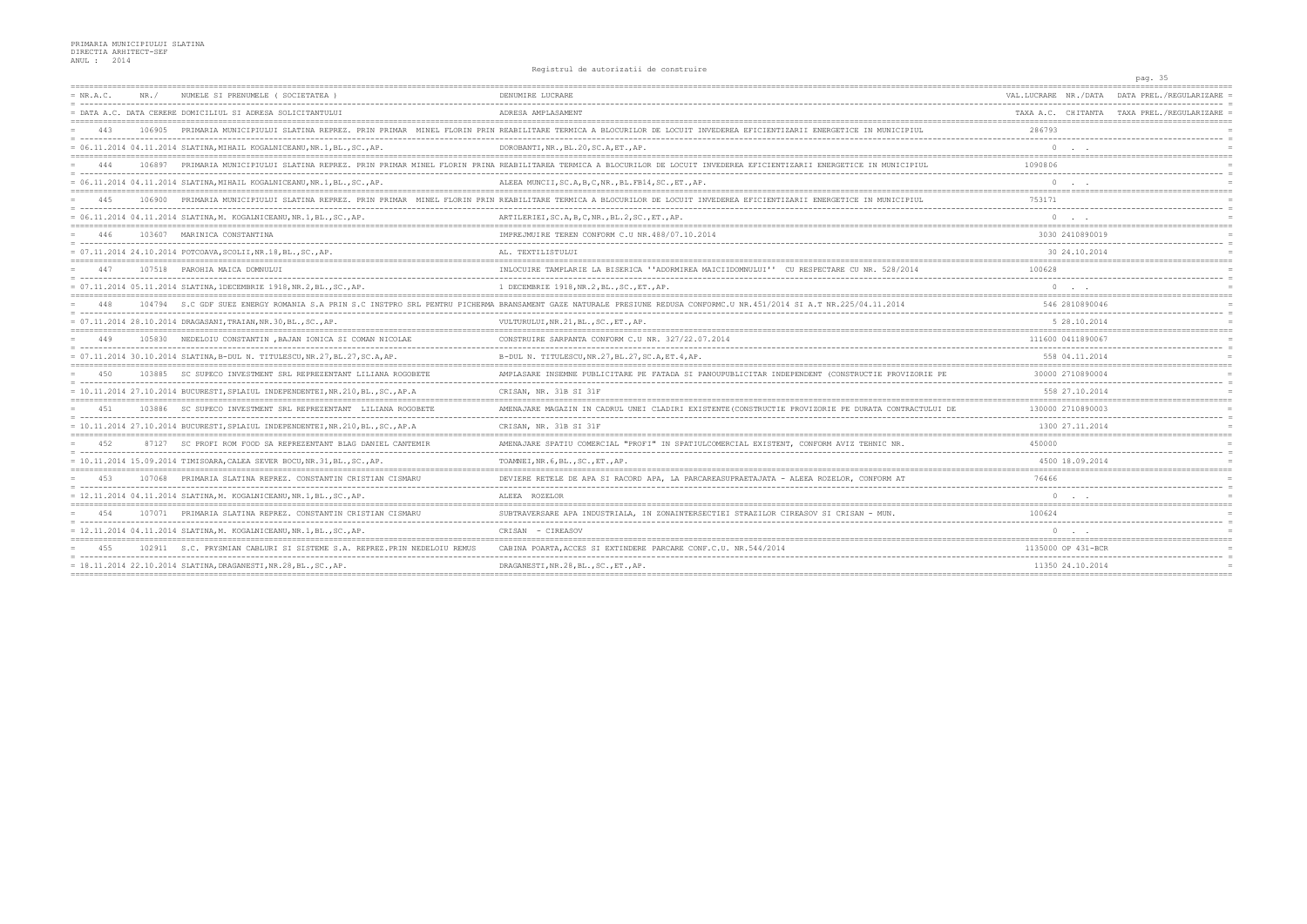|             |        |                                                                                                              | Registrui de autorizatii de construir                                                                                                                                     | pag. 35                                         |
|-------------|--------|--------------------------------------------------------------------------------------------------------------|---------------------------------------------------------------------------------------------------------------------------------------------------------------------------|-------------------------------------------------|
| $= NR.A.C.$ | NR. /  | NUMELE SI PRENUMELE (SOCIETATEA                                                                              | DENUMIRE LUCRARE                                                                                                                                                          | VAL.LUCRARE NR./DATA<br>DATA PREL./REGULARIZARE |
|             |        | = DATA A.C. DATA CERERE DOMICILIUL SI ADRESA SOLICITANTULUI                                                  | ADRESA AMPLASAMENT                                                                                                                                                        | TAXA A.C. CHITANTA TAXA PREL./REGULARIZARE      |
|             |        | PRIMARIA MUNICIPIULUI SLATINA REPREZ. PRIN PRIMAR                                                            | MINEL FLORIN PRIN REABILITARE TERMICA A BLOCURILOR DE LOCUIT INVEDEREA EFICIENTIZARII ENERGETICE IN MUNICIPIUL                                                            | 286793                                          |
|             |        | $= 06.11.2014 04.11.2014 SLATINA, MIHAIL KOGALNICEANU, NR.1, BL., SC., AP.$                                  | DOROBANTI, NR., BL.20, SC.A, ET., AP.                                                                                                                                     | $\Omega$                                        |
|             |        |                                                                                                              | 106897 PRIMARIA MUNICIPIULUI SLATINA REPREZ. PRIN PRIMAR MINEL FLORIN PRINA REABILITAREA TERMICA A BLOCURILOR DE LOCUIT INVEDEREA EFICIENTIZARII ENERGETICE IN MUNICIPIUL | 1090806                                         |
|             |        | $= 06.11.2014 04.11.2014 SLATINA, MIHAIL KOGALNICEANU, NR.1, BL., SC., AP.$                                  | ALEEA MUNCII, SC.A, B, C, NR., BL. FB14, SC., ET., AP.                                                                                                                    | $\Omega$                                        |
| 445         | 106900 |                                                                                                              | PRIMARIA MUNICIPIULUI SLATINA REPREZ. PRIN PRIMAR MINEL FLORIN PRIN REABILITARE TERMICA A BLOCURILOR DE LOCUIT INVEDEREA EFICIENTIZARII ENERGETICE IN MUNICIPIUL          | 753171                                          |
|             |        | = 06.11.2014 04.11.2014 SLATINA, M. KOGALNICEANU, NR.1, BL., SC., AP.                                        | ARTILERIEI, SC.A, B, C, NR., BL.2, SC., ET., AP.                                                                                                                          | $\circ$                                         |
| 446         |        | 103607 MARINICA CONSTANTINA                                                                                  | IMPREJMUIRE TEREN CONFORM C.U NR. 488/07.10.2014                                                                                                                          | 3030 2410890019                                 |
|             |        | $= 07.11.2014 24.10.2014 POTCOAVA, SCOLII, NR.18, BL., SC., AP.$                                             | AL. TEXTILISTULUI                                                                                                                                                         | 30 24.10.2014                                   |
| 447         |        | 107518 PAROHIA MAICA DOMNULUI                                                                                | INLOCUIRE TAMPLARIE LA BISERICA ''ADORMIREA MAICIIDOMNULUI'' CU RESPECTARE CU NR. 528/2014                                                                                | 100628                                          |
|             |        | $= 07.11.2014 05.11.2014 \text{ SLATINA, 1DECEMBRIE} 1918, \text{NR}. 2, \text{BL.}, \text{SC.}, \text{AP.}$ | 1 DECEMBRIE 1918, NR.2, BL., SC., ET., AP.                                                                                                                                | $\circ$                                         |
| 448         |        | 104794 S.C GDF SUEZ ENERGY ROMANIA S.A PRIN S.C INSTPRO SRL                                                  | PENTRU PICHERMA BRANSAMENT GAZE NATURALE PRESIUNE REDUSA CONFORMC.U NR.451/2014 SI A.T NR.225/04.11.2014                                                                  | 546 2810890046                                  |
|             |        | = 07.11.2014 28.10.2014 DRAGASANI, TRAIAN, NR.30, BL., SC., AP.                                              | VULTURULUI, NR. 21, BL., SC., ET., AP.                                                                                                                                    | 5 28.10.2014                                    |
|             |        | 105830 NEDELOIU CONSTANTIN, BAJAN IONICA SI COMAN NICOLAE                                                    | CONSTRUIRE SARPANTA CONFORM C.U NR. 327/22.07.2014                                                                                                                        | 111600 0411890067                               |
|             |        | $= 07.11.2014 30.10.2014 SIATIMA, B-DUL N. TITULESCU, NR.27, BL.27, SC.A, AP.$                               | B-DUL N. TITULESCU, NR. 27, BL. 27, SC. A, ET. 4, AP.                                                                                                                     | 558 04.11.2014                                  |
|             |        | 103885 SC SUPECO INVESTMENT SRL REPREZENTANT LILIANA ROGOBETE                                                | AMPLASARE INSEMNE PUBLICITARE PE FATADA SI PANOUPUBLICITAR INDEPENDENT (CONSTRUCTIE PROVIZORIE PE                                                                         | 30000 2710890004                                |
|             |        | $= 10.11.2014 27.10.2014 BUCURESTI, SPLAIUL INDEPENDENTER, NR.210, BL., SC., AP.A$                           | CRISAN, NR. 31B SI 31F                                                                                                                                                    | 558 27.10.2014                                  |
| 4.51        |        | 103886 SC SUPECO INVESTMENT SRL REPREZENTANT LILIANA ROGOBETE                                                | AMENAJARE MAGAZIN IN CADRUL UNEI CLADIRI EXISTENTE (CONSTRUCTIE PROVIZORIE PE DURATA CONTRACTULUI DE                                                                      | 130000 2710890003                               |
|             |        | $= 10.11.2014$ 27.10.2014 BUCURESTI.SPLAIUL INDEPENDENTEI.NR.210.BLSCAP.A                                    | CRISAN, NR. 31B SI 31F                                                                                                                                                    | 1300 27.11.2014                                 |
| 4.52        |        | 87127 SC PROFI ROM FOOD SA REPREZENTANT BLAG DANIEL CANTEMIR                                                 | AMENAJARE SPATIU COMERCIAL "PROFI" IN SPATIULCOMERCIAL EXISTENT, CONFORM AVIZ TEHNIC NR.                                                                                  | 450000                                          |
|             |        | $= 10.11.2014$ 15.09.2014 TIMISOARA, CALEA SEVER BOCU, NR.31, BL., SC., AP.                                  | TOAMNEI, NR. 6, BL., SC., ET., AP.                                                                                                                                        | 4500 18.09.2014                                 |
| 453         | 107068 | PRIMARIA SLATINA REPREZ. CONSTANTIN CRISTIAN CISMARU                                                         | DEVIERE RETELE DE APA SI RACORD APA, LA PARCAREASUPRAETAJATA - ALEEA ROZELOR, CONFORM AT                                                                                  | 76466                                           |
|             |        | $= 12.11.2014 04.11.2014 SLATINA,M. KOGALNICEANU, NR.1,BL., SC., AP.$                                        | ALEEA ROZELOR                                                                                                                                                             | $\Omega$                                        |
| 454         | 107071 | PRIMARIA SLATINA REPREZ. CONSTANTIN CRISTIAN CISMARU                                                         | SUBTRAVERSARE APA INDUSTRIALA, IN ZONAINTERSECTIEI STRAZILOR CIREASOV SI CRISAN - MUN.                                                                                    | 100624                                          |
|             |        | $= 12.11.2014 04.11.2014 SLATING,M. KOGALNICEANU, NR.1, BL., SC., AP.$                                       | CRISAN - CIREASOV                                                                                                                                                         | $\Omega$                                        |
|             |        | 102911 S.C. PRYSMIAN CABLURI SI SISTEME S.A. REPREZ. PRIN NEDELOIU                                           | CABINA POARTA, ACCES SI EXTINDERE PARCARE CONF.C.U. NR.544/2014                                                                                                           | 1135000 OP 431-BCR                              |
|             |        | $= 18.11.2014 22.10.2014 \text{ SLATINA, DRAGANESTI, NR.28, BL., SC., AP.}$                                  | DRAGANESTI, NR.28, BL., SC., ET., AP.                                                                                                                                     | 11350 24.10.2014                                |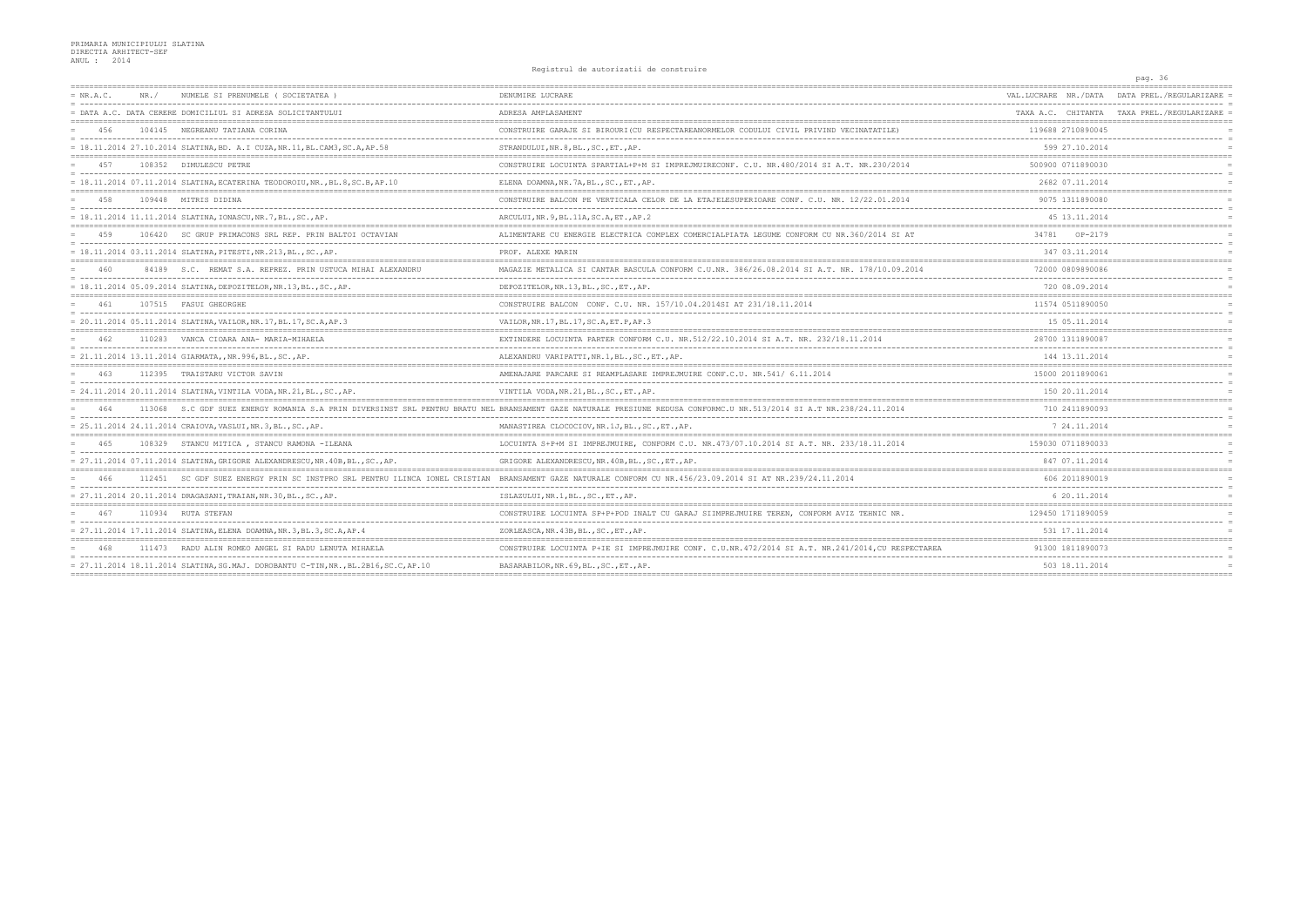|             |       |                                                                                     | nographar de ducorredorr de conscruire                                                                                                                               |                      | pag. 36                                    |
|-------------|-------|-------------------------------------------------------------------------------------|----------------------------------------------------------------------------------------------------------------------------------------------------------------------|----------------------|--------------------------------------------|
| $= NR.A.C.$ | NR. / | NUMELE SI PRENUMELE (SOCIETATEA)                                                    | DENUMIRE LUCRARE                                                                                                                                                     | VAL.LUCRARE NR./DATA | DATA PREL./REGULARIZARE                    |
|             |       | = DATA A.C. DATA CERERE DOMICILIUL SI ADRESA SOLICITANTULUI                         | ADRESA AMPLASAMENT                                                                                                                                                   |                      | TAXA A.C. CHITANTA TAXA PREL./REGULARIZARE |
| 456         |       | 104145 NEGREANU TATIANA CORINA                                                      | CONSTRUIRE GARAJE SI BIROURI (CU RESPECTAREANORMELOR CODULUI CIVIL PRIVIND VECINATATILE)                                                                             | 119688 2710890045    |                                            |
|             |       | = 18.11.2014 27.10.2014 SLATINA, BD. A.I CUZA, NR.11, BL.CAM3, SC.A, AP.58          | STRANDULUI, NR. 8, BL., SC., ET., AP.                                                                                                                                | 599 27.10.2014       |                                            |
| 457         |       | 108352 DIMULESCU PETRE                                                              | CONSTRUIRE LOCUINTA SPARTIAL+P+M SI IMPREJMUIRECONF. C.U. NR.480/2014 SI A.T. NR.230/2014                                                                            | 500900 0711890030    |                                            |
|             |       | $= 18.11.2014$ 07.11.2014 SLATINA.ECATERINA TEODOROIU.NRBL.8.SC.B.AP.10             | ELENA DOAMNA, NR. 7A, BL., SC., ET., AP.                                                                                                                             | 2682 07.11.2014      |                                            |
| 458         |       | 109448 MITRIS DIDINA                                                                | CONSTRUIRE BALCON PE VERTICALA CELOR DE LA ETAJELESUPERIOARE CONF. C.U. NR. 12/22.01.2014                                                                            | 9075 1311890080      |                                            |
|             |       | = 18.11.2014 11.11.2014 SLATINA, IONASCU, NR.7, BL., SC., AP.                       | ARCULUI, NR. 9, BL. 11A, SC. A, ET., AP. 2                                                                                                                           | 45 13.11.2014        |                                            |
| 459         |       | 106420 SC GRUP PRIMACONS SRL REP. PRIN BALTOI OCTAVIAN                              | ALIMENTARE CU ENERGIE ELECTRICA COMPLEX COMERCIALPIATA LEGUME CONFORM CU NR. 360/2014 SI AT                                                                          | 34781 OP-2179        |                                            |
|             |       | = 18.11.2014 03.11.2014 SLATINA, PITESTI, NR.213, BL., SC., AP.                     | PROF. ALEXE MARIN                                                                                                                                                    | 347 03.11.2014       |                                            |
|             |       | 84189 S.C. REMAT S.A. REPREZ. PRIN USTUCA MIHAI ALEXANDRU                           | MAGAZIE METALICA SI CANTAR BASCULA CONFORM C.U.NR. 386/26.08.2014 SI A.T. NR. 178/10.09.2014                                                                         | 72000 0809890086     |                                            |
|             |       | $= 18.11.2014 05.09.2014 SLATINA, DEPOZITELOR, NR.13, BL., SC., AP.$                | DEPOZITELOR, NR.13, BL., SC., ET., AP.                                                                                                                               | 720 08.09.2014       |                                            |
| 461         |       | 107515 FASUI GHEORGHE                                                               | CONSTRUIRE BALCON CONF. C.U. NR. 157/10.04.2014SI AT 231/18.11.2014                                                                                                  | 11574 0511890050     |                                            |
|             |       | $= 20.11.2014 05.11.2014 SLATINA, VAILOR, NR.17, BL.17, SC.A, AP.3$                 | VAILOR, NR. 17, BL. 17, SC. A, ET. P, AP. 3                                                                                                                          | 15 05.11.2014        |                                            |
| 462         |       | 110283 VANCA CIOARA ANA- MARIA-MIHAELA                                              | EXTINDERE LOCUINTA PARTER CONFORM C.U. NR. 512/22.10.2014 SI A.T. NR. 232/18.11.2014                                                                                 | 28700 1311890087     |                                            |
|             |       | = 21.11.2014 13.11.2014 GIARMATA,, NR.996, BL., SC., AP.                            | ALEXANDRU VARIPATTI, NR.1, BL., SC., ET., AP.                                                                                                                        | 144 13.11.2014       |                                            |
|             |       | 112395 TRAISTARU VICTOR SAVIN                                                       | AMENAJARE PARCARE SI REAMPLASARE IMPREJMUIRE CONF.C.U. NR.541/6.11.2014                                                                                              | 15000 2011890061     |                                            |
|             |       | $= 24.11.2014 20.11.2014 SLATINA, VINTILA VODA, NR.21, BL., SC., AP.$               | VINTILA VODA, NR. 21, BL., SC., ET., AP.                                                                                                                             | 150 20.11.2014       |                                            |
|             |       |                                                                                     | 113068 S.C GDF SUEZ ENERGY ROMANIA S.A PRIN DIVERSINST SRL PENTRU BRATU NEL BRANSAMENT GAZE NATURALE PRESIUNE REDUSA CONFORMC.U NR.513/2014 SI A.T NR.238/24.11.2014 | 710 2411890093       |                                            |
|             |       | = 25.11.2014 24.11.2014 CRAIOVA, VASLUI, NR.3, BL., SC., AP.                        | MANASTIREA CLOCOCIOV, NR.1J, BL., SC., ET., AP.                                                                                                                      | 7 24.11.2014         |                                            |
|             |       | 108329 STANCU MITICA, STANCU RAMONA - ILEANA                                        | LOCUINTA S+P+M SI IMPREJMUIRE, CONFORM C.U. NR. 473/07.10.2014 SI A.T. NR. 233/18.11.2014                                                                            | 159030 0711890033    |                                            |
|             |       | = 27.11.2014 07.11.2014 SLATINA, GRIGORE ALEXANDRESCU, NR.40B, BL., SC., AP.        | GRIGORE ALEXANDRESCU, NR. 40B, BL., SC., ET., AP.                                                                                                                    | 847 07.11.2014       |                                            |
| 466         |       |                                                                                     | 112451 SC GDF SUEZ ENERGY PRIN SC INSTPRO SRL PENTRU ILINCA IONEL CRISTIAN BRANSAMENT GAZE NATURALE CONFORM CU NR.456/23.09.2014 SI AT NR.239/24.11.2014             | 606 2011890019       |                                            |
|             |       | = 27.11.2014 20.11.2014 DRAGASANI, TRAIAN, NR.30, BL., SC., AP.                     | ISLAZULUI, NR.1, BL., SC., ET., AP.                                                                                                                                  | 6 20.11.2014         |                                            |
| 467         |       | 110934 RUTA STEFAN                                                                  | CONSTRUIRE LOCUINTA SP+P+POD INALT CU GARAJ SIIMPREJMUIRE TEREN, CONFORM AVIZ TEHNIC NR.                                                                             | 129450 1711890059    |                                            |
|             |       | = 27.11.2014 17.11.2014 SLATINA, ELENA DOAMNA, NR.3, BL.3, SC.A, AP.4               | ZORLEASCA, NR. 43B, BL., SC., ET., AP.                                                                                                                               | 531 17.11.2014       |                                            |
|             |       | 111473 RADU ALIN ROMEO ANGEL SI RADU LENUTA MIHAELA                                 | CONSTRUIRE LOCUINTA P+IE SI IMPREJMUIRE CONF. C.U.NR.472/2014 SI A.T. NR.241/2014, CU RESPECTAREA                                                                    | 91300 1811890073     |                                            |
|             |       | = 27.11.2014 18.11.2014 SLATINA, SG.MAJ. DOROBANTU C-TIN, NR., BL.2B16, SC.C, AP.10 | BASARABILOR, NR. 69, BL., SC., ET., AP.                                                                                                                              | 503 18.11.2014       |                                            |
|             |       |                                                                                     |                                                                                                                                                                      |                      |                                            |